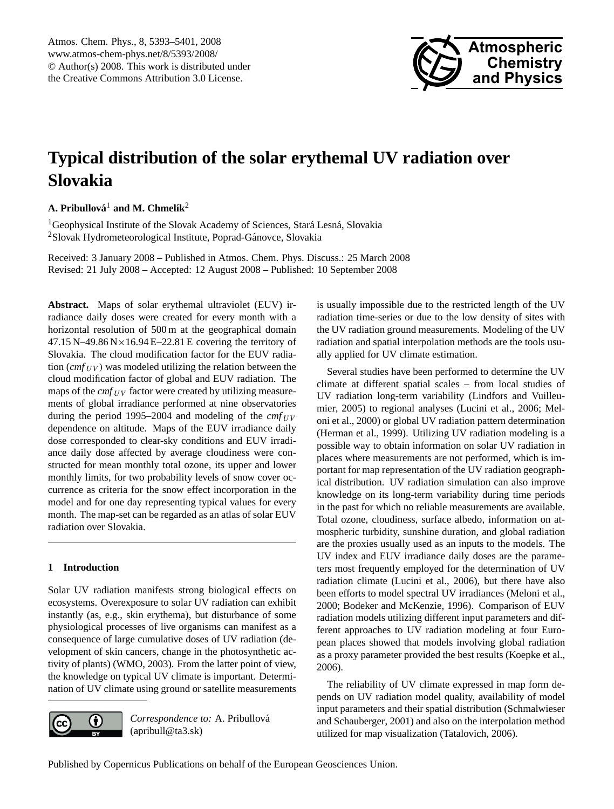

# <span id="page-0-0"></span>**Typical distribution of the solar erythemal UV radiation over Slovakia**

# A. Pribullová<sup>1</sup> and M. Chmelík<sup>2</sup>

<sup>1</sup>Geophysical Institute of the Slovak Academy of Sciences, Stará Lesná, Slovakia <sup>2</sup>Slovak Hydrometeorological Institute, Poprad-Gánovce, Slovakia

Received: 3 January 2008 – Published in Atmos. Chem. Phys. Discuss.: 25 March 2008 Revised: 21 July 2008 – Accepted: 12 August 2008 – Published: 10 September 2008

**Abstract.** Maps of solar erythemal ultraviolet (EUV) irradiance daily doses were created for every month with a horizontal resolution of 500 m at the geographical domain  $47.15 N-49.86 N \times 16.94 E-22.81 E$  covering the territory of Slovakia. The cloud modification factor for the EUV radiation  $(cmf_{UV})$  was modeled utilizing the relation between the cloud modification factor of global and EUV radiation. The maps of the  $cmf_{UV}$  factor were created by utilizing measurements of global irradiance performed at nine observatories during the period 1995–2004 and modeling of the  $cmf_{UV}$ dependence on altitude. Maps of the EUV irradiance daily dose corresponded to clear-sky conditions and EUV irradiance daily dose affected by average cloudiness were constructed for mean monthly total ozone, its upper and lower monthly limits, for two probability levels of snow cover occurrence as criteria for the snow effect incorporation in the model and for one day representing typical values for every month. The map-set can be regarded as an atlas of solar EUV radiation over Slovakia.

# **1 Introduction**

Solar UV radiation manifests strong biological effects on ecosystems. Overexposure to solar UV radiation can exhibit instantly (as, e.g., skin erythema), but disturbance of some physiological processes of live organisms can manifest as a consequence of large cumulative doses of UV radiation (development of skin cancers, change in the photosynthetic activity of plants) (WMO, 2003). From the latter point of view, the knowledge on typical UV climate is important. Determination of UV climate using ground or satellite measurements



*Correspondence to:* A. Pribullova´ (apribull@ta3.sk)

is usually impossible due to the restricted length of the UV radiation time-series or due to the low density of sites with the UV radiation ground measurements. Modeling of the UV radiation and spatial interpolation methods are the tools usually applied for UV climate estimation.

Several studies have been performed to determine the UV climate at different spatial scales – from local studies of UV radiation long-term variability [\(Lindfors and Vuilleu](#page-8-0)[mier,](#page-8-0) [2005\)](#page-8-0) to regional analyses [\(Lucini et al.,](#page-8-1) [2006;](#page-8-1) [Mel](#page-8-2)[oni et al.,](#page-8-2) [2000\)](#page-8-2) or global UV radiation pattern determination [\(Herman et al.,](#page-7-0) [1999\)](#page-7-0). Utilizing UV radiation modeling is a possible way to obtain information on solar UV radiation in places where measurements are not performed, which is important for map representation of the UV radiation geographical distribution. UV radiation simulation can also improve knowledge on its long-term variability during time periods in the past for which no reliable measurements are available. Total ozone, cloudiness, surface albedo, information on atmospheric turbidity, sunshine duration, and global radiation are the proxies usually used as an inputs to the models. The UV index and EUV irradiance daily doses are the parameters most frequently employed for the determination of UV radiation climate [\(Lucini et al.,](#page-8-1) [2006\)](#page-8-1), but there have also been efforts to model spectral UV irradiances [\(Meloni et al.,](#page-8-2) [2000;](#page-8-2) [Bodeker and McKenzie,](#page-7-1) [1996\)](#page-7-1). Comparison of EUV radiation models utilizing different input parameters and different approaches to UV radiation modeling at four European places showed that models involving global radiation as a proxy parameter provided the best results [\(Koepke et al.,](#page-8-3) [2006\)](#page-8-3).

The reliability of UV climate expressed in map form depends on UV radiation model quality, availability of model input parameters and their spatial distribution [\(Schmalwieser](#page-8-4) [and Schauberger,](#page-8-4) [2001\)](#page-8-4) and also on the interpolation method utilized for map visualization [\(Tatalovich,](#page-8-5) [2006\)](#page-8-5).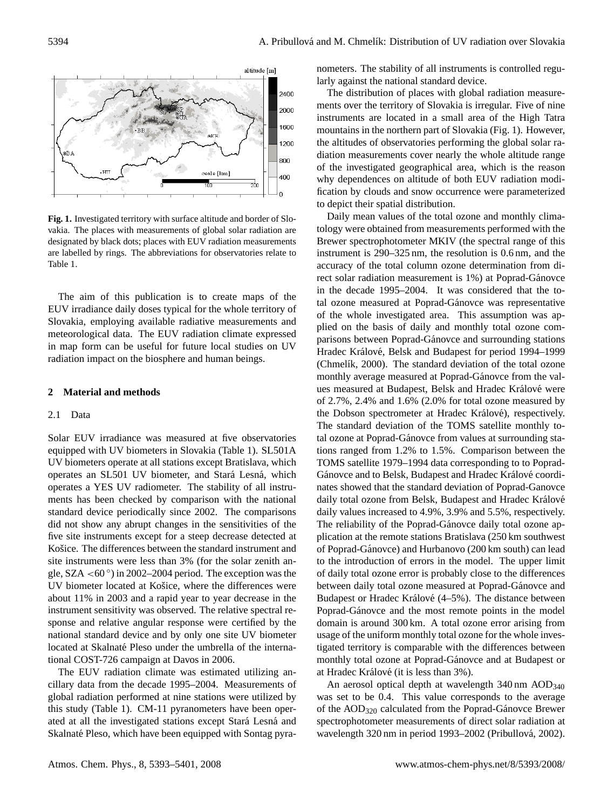

<span id="page-1-0"></span>**Fig. 1.** Investigated territory with surface altitude and border of Slovakia. The places with measurements of global solar radiation are designated by black dots; places with EUV radiation measurements are labelled by rings. The abbreviations for observatories relate to Table 1.

The aim of this publication is to create maps of the EUV irradiance daily doses typical for the whole territory of Slovakia, employing available radiative measurements and meteorological data. The EUV radiation climate expressed in map form can be useful for future local studies on UV radiation impact on the biosphere and human beings.

#### **2 Material and methods**

### 2.1 Data

Solar EUV irradiance was measured at five observatories equipped with UV biometers in Slovakia (Table [1\)](#page-2-0). SL501A UV biometers operate at all stations except Bratislava, which operates an SL501 UV biometer, and Stará Lesná, which operates a YES UV radiometer. The stability of all instruments has been checked by comparison with the national standard device periodically since 2002. The comparisons did not show any abrupt changes in the sensitivities of the five site instruments except for a steep decrease detected at Košice. The differences between the standard instrument and site instruments were less than 3% (for the solar zenith angle,  $SZA < 60^\circ$ ) in 2002–2004 period. The exception was the UV biometer located at Košice, where the differences were about 11% in 2003 and a rapid year to year decrease in the instrument sensitivity was observed. The relative spectral response and relative angular response were certified by the national standard device and by only one site UV biometer located at Skalnaté Pleso under the umbrella of the international COST-726 campaign at Davos in 2006.

The EUV radiation climate was estimated utilizing ancillary data from the decade 1995–2004. Measurements of global radiation performed at nine stations were utilized by this study (Table [1\)](#page-2-0). CM-11 pyranometers have been operated at all the investigated stations except Stará Lesná and Skalnaté Pleso, which have been equipped with Sontag pyranometers. The stability of all instruments is controlled regularly against the national standard device.

The distribution of places with global radiation measurements over the territory of Slovakia is irregular. Five of nine instruments are located in a small area of the High Tatra mountains in the northern part of Slovakia (Fig. [1\)](#page-1-0). However, the altitudes of observatories performing the global solar radiation measurements cover nearly the whole altitude range of the investigated geographical area, which is the reason why dependences on altitude of both EUV radiation modification by clouds and snow occurrence were parameterized to depict their spatial distribution.

Daily mean values of the total ozone and monthly climatology were obtained from measurements performed with the Brewer spectrophotometer MKIV (the spectral range of this instrument is 290–325 nm, the resolution is 0.6 nm, and the accuracy of the total column ozone determination from direct solar radiation measurement is 1%) at Poprad-Gánovce in the decade 1995–2004. It was considered that the total ozone measured at Poprad-Gánovce was representative of the whole investigated area. This assumption was applied on the basis of daily and monthly total ozone comparisons between Poprad-Gánovce and surrounding stations Hradec Králové, Belsk and Budapest for period 1994–1999 (Chmelík, [2000\)](#page-7-2). The standard deviation of the total ozone monthly average measured at Poprad-Gánovce from the values measured at Budapest, Belsk and Hradec Králové were of 2.7%, 2.4% and 1.6% (2.0% for total ozone measured by the Dobson spectrometer at Hradec Králové), respectively. The standard deviation of the TOMS satellite monthly total ozone at Poprad-Gánovce from values at surrounding stations ranged from 1.2% to 1.5%. Comparison between the TOMS satellite 1979–1994 data corresponding to to Poprad-Gánovce and to Belsk, Budapest and Hradec Králové coordinates showed that the standard deviation of Poprad-Ganovce daily total ozone from Belsk, Budapest and Hradec Králové daily values increased to 4.9%, 3.9% and 5.5%, respectively. The reliability of the Poprad-Gánovce daily total ozone application at the remote stations Bratislava (250 km southwest of Poprad-Gánovce) and Hurbanovo (200 km south) can lead to the introduction of errors in the model. The upper limit of daily total ozone error is probably close to the differences between daily total ozone measured at Poprad-Gánovce and Budapest or Hradec Králové (4–5%). The distance between Poprad-Gánovce and the most remote points in the model domain is around 300 km. A total ozone error arising from usage of the uniform monthly total ozone for the whole investigated territory is comparable with the differences between monthly total ozone at Poprad-Gánovce and at Budapest or at Hradec Králové (it is less than 3%).

An aerosol optical depth at wavelength  $340 \text{ nm }$  AOD<sub>340</sub> was set to be 0.4. This value corresponds to the average of the AOD<sub>320</sub> calculated from the Poprad-Gánovce Brewer spectrophotometer measurements of direct solar radiation at wavelength 320 nm in period 1993–2002 (Pribullová, [2002\)](#page-8-6).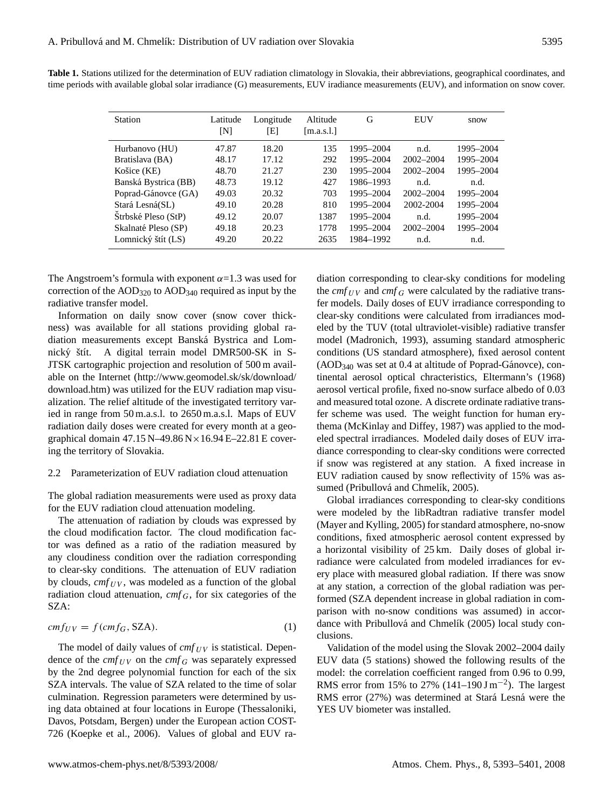| <b>Station</b>       | Latitude<br>ſΝl | Longitude<br>[E] | Altitude<br>[m.a.s.l.] | G         | <b>EUV</b> | snow      |  |
|----------------------|-----------------|------------------|------------------------|-----------|------------|-----------|--|
| Hurbanovo (HU)       | 47.87           | 18.20            | 135                    | 1995-2004 | n.d.       | 1995-2004 |  |
| Bratislava (BA)      | 48.17           | 17.12            | 292                    | 1995-2004 | 2002-2004  | 1995-2004 |  |
| Košice (KE)          | 48.70           | 21.27            | 230                    | 1995-2004 | 2002-2004  | 1995-2004 |  |
| Banská Bystrica (BB) | 48.73           | 19.12            | 427                    | 1986-1993 | n.d.       | n.d.      |  |
| Poprad-Gánovce (GA)  | 49.03           | 20.32            | 703                    | 1995-2004 | 2002-2004  | 1995-2004 |  |
| Stará Lesná(SL)      | 49.10           | 20.28            | 810                    | 1995-2004 | 2002-2004  | 1995-2004 |  |
| Štrbské Pleso (StP)  | 49.12           | 20.07            | 1387                   | 1995-2004 | n.d.       | 1995-2004 |  |
| Skalnaté Pleso (SP)  | 49.18           | 20.23            | 1778                   | 1995-2004 | 2002-2004  | 1995-2004 |  |
| Lomnický štít (LS)   | 49.20           | 20.22            | 2635                   | 1984-1992 | n.d.       | n.d.      |  |

<span id="page-2-0"></span>**Table 1.** Stations utilized for the determination of EUV radiation climatology in Slovakia, their abbreviations, geographical coordinates, and time periods with available global solar irradiance (G) measurements, EUV iradiance measurements (EUV), and information on snow cover.

The Angstroem's formula with exponent  $\alpha$ =1.3 was used for correction of the  $AOD_{320}$  to  $AOD_{340}$  required as input by the radiative transfer model.

Information on daily snow cover (snow cover thickness) was available for all stations providing global radiation measurements except Banská Bystrica and Lomnický štít. A digital terrain model DMR500-SK in S-JTSK cartographic projection and resolution of 500 m available on the Internet [\(http://www.geomodel.sk/sk/download/](http://www.geomodel.sk/sk/download/download.htm) [download.htm\)](http://www.geomodel.sk/sk/download/download.htm) was utilized for the EUV radiation map visualization. The relief altitude of the investigated territory varied in range from 50 m.a.s.l. to 2650 m.a.s.l. Maps of EUV radiation daily doses were created for every month at a geographical domain  $47.15 N - 49.86 N \times 16.94 E - 22.81 E$  covering the territory of Slovakia.

#### 2.2 Parameterization of EUV radiation cloud attenuation

The global radiation measurements were used as proxy data for the EUV radiation cloud attenuation modeling.

The attenuation of radiation by clouds was expressed by the cloud modification factor. The cloud modification factor was defined as a ratio of the radiation measured by any cloudiness condition over the radiation corresponding to clear-sky conditions. The attenuation of EUV radiation by clouds,  $cmf_{UV}$ , was modeled as a function of the global radiation cloud attenuation,  $cm\bar{f}_G$ , for six categories of the SZA:

$$
cmf_{UV} = f(cmf_G, \text{SZA}).\tag{1}
$$

The model of daily values of  $cmf_{UV}$  is statistical. Dependence of the  $cmf_{UV}$  on the  $cmf_G$  was separately expressed by the 2nd degree polynomial function for each of the six SZA intervals. The value of SZA related to the time of solar culmination. Regression parameters were determined by using data obtained at four locations in Europe (Thessaloniki, Davos, Potsdam, Bergen) under the European action COST-726 [\(Koepke et al.,](#page-8-3) [2006\)](#page-8-3). Values of global and EUV ra-

diation corresponding to clear-sky conditions for modeling the  $cmf_{UV}$  and  $cmf_G$  were calculated by the radiative transfer models. Daily doses of EUV irradiance corresponding to clear-sky conditions were calculated from irradiances modeled by the TUV (total ultraviolet-visible) radiative transfer model [\(Madronich,](#page-8-7) [1993\)](#page-8-7), assuming standard atmospheric conditions (US standard atmosphere), fixed aerosol content  $(AOD<sub>340</sub>$  was set at 0.4 at altitude of Poprad-Gánovce), continental aerosol optical chracteristics, Eltermann's (1968) aerosol vertical profile, fixed no-snow surface albedo of 0.03 and measured total ozone. A discrete ordinate radiative transfer scheme was used. The weight function for human erythema [\(McKinlay and Diffey,](#page-8-8) [1987\)](#page-8-8) was applied to the modeled spectral irradiances. Modeled daily doses of EUV irradiance corresponding to clear-sky conditions were corrected if snow was registered at any station. A fixed increase in EUV radiation caused by snow reflectivity of 15% was as-sumed (Pribullová and Chmelík, [2005\)](#page-8-9).

Global irradiances corresponding to clear-sky conditions were modeled by the libRadtran radiative transfer model [\(Mayer and Kylling,](#page-8-10) [2005\)](#page-8-10) for standard atmosphere, no-snow conditions, fixed atmospheric aerosol content expressed by a horizontal visibility of 25 km. Daily doses of global irradiance were calculated from modeled irradiances for every place with measured global radiation. If there was snow at any station, a correction of the global radiation was performed (SZA dependent increase in global radiation in comparison with no-snow conditions was assumed) in accor-dance with Pribullová and Chmelík [\(2005\)](#page-8-9) local study conclusions.

Validation of the model using the Slovak 2002–2004 daily EUV data (5 stations) showed the following results of the model: the correlation coefficient ranged from 0.96 to 0.99, RMS error from 15% to 27% (141–190 J m<sup>-2</sup>). The largest RMS error (27%) was determined at Stará Lesná were the YES UV biometer was installed.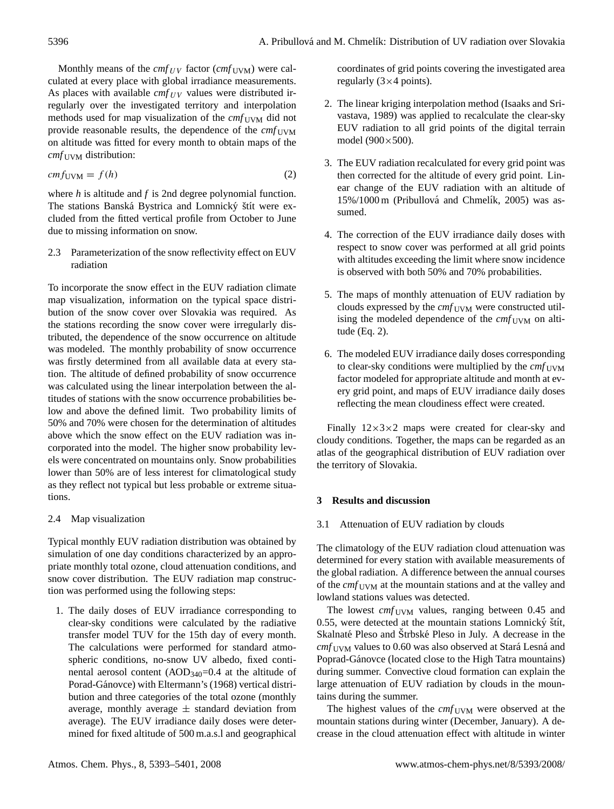Monthly means of the  $cmf_{UV}$  factor ( $cmf_{UVM}$ ) were calculated at every place with global irradiance measurements. As places with available  $cmf_{UV}$  values were distributed irregularly over the investigated territory and interpolation methods used for map visualization of the *cmf* UVM did not provide reasonable results, the dependence of the *cmf* UVM on altitude was fitted for every month to obtain maps of the *cmf* UVM distribution:

$$
cmf_{\text{UVM}} = f(h) \tag{2}
$$

where *h* is altitude and *f* is 2nd degree polynomial function. The stations Banská Bystrica and Lomnický štít were excluded from the fitted vertical profile from October to June due to missing information on snow.

2.3 Parameterization of the snow reflectivity effect on EUV radiation

To incorporate the snow effect in the EUV radiation climate map visualization, information on the typical space distribution of the snow cover over Slovakia was required. As the stations recording the snow cover were irregularly distributed, the dependence of the snow occurrence on altitude was modeled. The monthly probability of snow occurrence was firstly determined from all available data at every station. The altitude of defined probability of snow occurrence was calculated using the linear interpolation between the altitudes of stations with the snow occurrence probabilities below and above the defined limit. Two probability limits of 50% and 70% were chosen for the determination of altitudes above which the snow effect on the EUV radiation was incorporated into the model. The higher snow probability levels were concentrated on mountains only. Snow probabilities lower than 50% are of less interest for climatological study as they reflect not typical but less probable or extreme situations.

# 2.4 Map visualization

Typical monthly EUV radiation distribution was obtained by simulation of one day conditions characterized by an appropriate monthly total ozone, cloud attenuation conditions, and snow cover distribution. The EUV radiation map construction was performed using the following steps:

1. The daily doses of EUV irradiance corresponding to clear-sky conditions were calculated by the radiative transfer model TUV for the 15th day of every month. The calculations were performed for standard atmospheric conditions, no-snow UV albedo, fixed continental aerosol content  $(AOD_{340}=0.4$  at the altitude of Porad-Gánovce) with Eltermann's (1968) vertical distribution and three categories of the total ozone (monthly average, monthly average  $\pm$  standard deviation from average). The EUV irradiance daily doses were determined for fixed altitude of 500 m.a.s.l and geographical coordinates of grid points covering the investigated area regularly  $(3\times4$  points).

- 2. The linear kriging interpolation method [\(Isaaks and Sri](#page-7-3)[vastava,](#page-7-3) [1989\)](#page-7-3) was applied to recalculate the clear-sky EUV radiation to all grid points of the digital terrain model (900×500).
- 3. The EUV radiation recalculated for every grid point was then corrected for the altitude of every grid point. Linear change of the EUV radiation with an altitude of  $15\%/1000 \text{ m}$  (Pribullová and Chmelík, [2005\)](#page-8-9) was assumed.
- 4. The correction of the EUV irradiance daily doses with respect to snow cover was performed at all grid points with altitudes exceeding the limit where snow incidence is observed with both 50% and 70% probabilities.
- 5. The maps of monthly attenuation of EUV radiation by clouds expressed by the *cmf* UVM were constructed utilising the modeled dependence of the *cmf* UVM on altitude (Eq. 2).
- 6. The modeled EUV irradiance daily doses corresponding to clear-sky conditions were multiplied by the *cmf* UVM factor modeled for appropriate altitude and month at every grid point, and maps of EUV irradiance daily doses reflecting the mean cloudiness effect were created.

Finally  $12\times3\times2$  maps were created for clear-sky and cloudy conditions. Together, the maps can be regarded as an atlas of the geographical distribution of EUV radiation over the territory of Slovakia.

# **3 Results and discussion**

# 3.1 Attenuation of EUV radiation by clouds

The climatology of the EUV radiation cloud attenuation was determined for every station with available measurements of the global radiation. A difference between the annual courses of the *cmf* UVM at the mountain stations and at the valley and lowland stations values was detected.

The lowest *cmf* UVM values, ranging between 0.45 and  $0.55$ , were detected at the mountain stations Lomnický štít, Skalnaté Pleso and Štrbské Pleso in July. A decrease in the *cmf* UVM values to 0.60 was also observed at Stará Lesná and Poprad-Gánovce (located close to the High Tatra mountains) during summer. Convective cloud formation can explain the large attenuation of EUV radiation by clouds in the mountains during the summer.

The highest values of the *cmf* UVM were observed at the mountain stations during winter (December, January). A decrease in the cloud attenuation effect with altitude in winter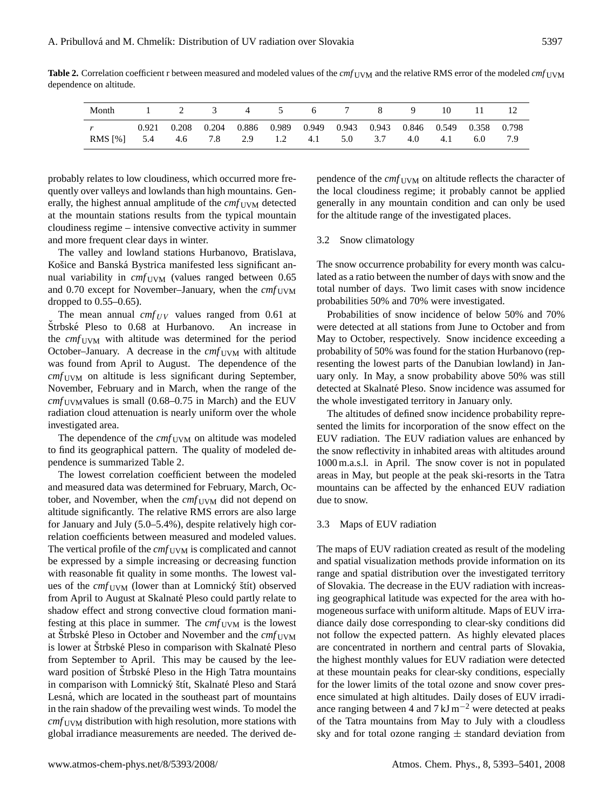| Month          |              | $\overline{2}$ | $\sim$ 3     |                    | 4 5 |       | 6 7 8                | $\overline{9}$                 | 10. |     |              |
|----------------|--------------|----------------|--------------|--------------------|-----|-------|----------------------|--------------------------------|-----|-----|--------------|
| <b>RMS</b> [%] | 0.921<br>5.4 | 0.208<br>4.6   | 0.204<br>7.8 | 0.886 0.989<br>2.9 | 1.2 | 0.949 | 0.943<br>4.1 5.0 3.7 | 0.943 0.846 0.549 0.358<br>4.0 | 4.1 | 6.0 | 0.798<br>7.9 |

<span id="page-4-0"></span>**Table 2.** Correlation coefficient r between measured and modeled values of the  $cmf_{UVM}$  and the relative RMS error of the modeled  $cmf_{UVM}$ dependence on altitude.

probably relates to low cloudiness, which occurred more frequently over valleys and lowlands than high mountains. Generally, the highest annual amplitude of the *cmf* UVM detected at the mountain stations results from the typical mountain cloudiness regime – intensive convective activity in summer and more frequent clear days in winter.

The valley and lowland stations Hurbanovo, Bratislava, Košice and Banská Bystrica manifested less significant annual variability in *cmf* UVM (values ranged between 0.65 and 0.70 except for November-January, when the  $cmf_{\text{UVM}}$ dropped to 0.55–0.65).

The mean annual  $cmf_{UV}$  values ranged from 0.61 at rbské Pleso to 0.68 at Hurbanovo. An increase in Štrbské Pleso to 0.68 at Hurbanovo. the *cmf* UVM with altitude was determined for the period October–January. A decrease in the *cmf* UVM with altitude was found from April to August. The dependence of the  $cmf_{\text{UVM}}$  on altitude is less significant during September, November, February and in March, when the range of the  $cmf_{UVM}$ values is small (0.68–0.75 in March) and the EUV radiation cloud attenuation is nearly uniform over the whole investigated area.

The dependence of the *cmf* UVM on altitude was modeled to find its geographical pattern. The quality of modeled dependence is summarized Table [2.](#page-4-0)

The lowest correlation coefficient between the modeled and measured data was determined for February, March, October, and November, when the *cmf* UVM did not depend on altitude significantly. The relative RMS errors are also large for January and July (5.0–5.4%), despite relatively high correlation coefficients between measured and modeled values. The vertical profile of the *cmf* UVM is complicated and cannot be expressed by a simple increasing or decreasing function with reasonable fit quality in some months. The lowest values of the *cmf* UVM (lower than at Lomnický štít) observed from April to August at Skalnaté Pleso could partly relate to shadow effect and strong convective cloud formation manifesting at this place in summer. The *cmf* UVM is the lowest at Štrbské Pleso in October and November and the *cmf* UVM is lower at Strbské Pleso in comparison with Skalnaté Pleso from September to April. This may be caused by the leeward position of Štrbské Pleso in the High Tatra mountains in comparison with Lomnický štít, Skalnaté Pleso and Stará Lesná, which are located in the southeast part of mountains in the rain shadow of the prevailing west winds. To model the  $cmf_{\text{UVM}}$  distribution with high resolution, more stations with global irradiance measurements are needed. The derived dependence of the *cmf* UVM on altitude reflects the character of the local cloudiness regime; it probably cannot be applied generally in any mountain condition and can only be used for the altitude range of the investigated places.

#### 3.2 Snow climatology

The snow occurrence probability for every month was calculated as a ratio between the number of days with snow and the total number of days. Two limit cases with snow incidence probabilities 50% and 70% were investigated.

Probabilities of snow incidence of below 50% and 70% were detected at all stations from June to October and from May to October, respectively. Snow incidence exceeding a probability of 50% was found for the station Hurbanovo (representing the lowest parts of the Danubian lowland) in January only. In May, a snow probability above 50% was still detected at Skalnaté Pleso. Snow incidence was assumed for the whole investigated territory in January only.

The altitudes of defined snow incidence probability represented the limits for incorporation of the snow effect on the EUV radiation. The EUV radiation values are enhanced by the snow reflectivity in inhabited areas with altitudes around 1000 m.a.s.l. in April. The snow cover is not in populated areas in May, but people at the peak ski-resorts in the Tatra mountains can be affected by the enhanced EUV radiation due to snow.

#### 3.3 Maps of EUV radiation

The maps of EUV radiation created as result of the modeling and spatial visualization methods provide information on its range and spatial distribution over the investigated territory of Slovakia. The decrease in the EUV radiation with increasing geographical latitude was expected for the area with homogeneous surface with uniform altitude. Maps of EUV irradiance daily dose corresponding to clear-sky conditions did not follow the expected pattern. As highly elevated places are concentrated in northern and central parts of Slovakia, the highest monthly values for EUV radiation were detected at these mountain peaks for clear-sky conditions, especially for the lower limits of the total ozone and snow cover presence simulated at high altitudes. Daily doses of EUV irradiance ranging between 4 and 7 kJ m<sup>-2</sup> were detected at peaks of the Tatra mountains from May to July with a cloudless sky and for total ozone ranging  $\pm$  standard deviation from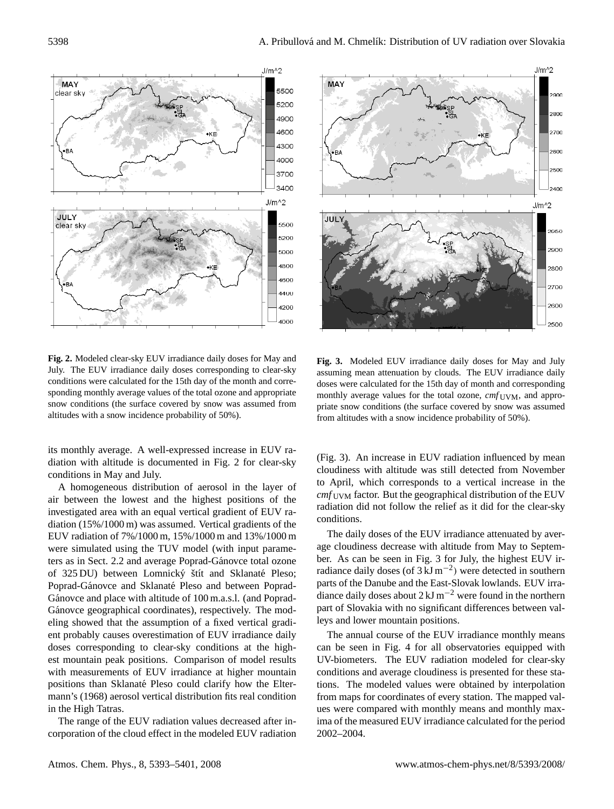

<span id="page-5-0"></span>**Fig. 2.** Modeled clear-sky EUV irradiance daily doses for May and July. The EUV irradiance daily doses corresponding to clear-sky conditions were calculated for the 15th day of the month and corresponding monthly average values of the total ozone and appropriate snow conditions (the surface covered by snow was assumed from altitudes with a snow incidence probability of 50%).

its monthly average. A well-expressed increase in EUV radiation with altitude is documented in Fig. [2](#page-5-0) for clear-sky conditions in May and July.

A homogeneous distribution of aerosol in the layer of air between the lowest and the highest positions of the investigated area with an equal vertical gradient of EUV radiation (15%/1000 m) was assumed. Vertical gradients of the EUV radiation of 7%/1000 m, 15%/1000 m and 13%/1000 m were simulated using the TUV model (with input parameters as in Sect. 2.2 and average Poprad-Gánovce total ozone of 325 DU) between Lomnický štít and Sklanaté Pleso; Poprad-Gánovce and Sklanaté Pleso and between Poprad-Gánovce and place with altitude of 100 m.a.s.l. (and Poprad-Gánovce geographical coordinates), respectively. The modeling showed that the assumption of a fixed vertical gradient probably causes overestimation of EUV irradiance daily doses corresponding to clear-sky conditions at the highest mountain peak positions. Comparison of model results with measurements of EUV irradiance at higher mountain positions than Sklanaté Pleso could clarify how the Eltermann's (1968) aerosol vertical distribution fits real condition in the High Tatras.

The range of the EUV radiation values decreased after incorporation of the cloud effect in the modeled EUV radiation



<span id="page-5-1"></span>**Fig. 3.** Modeled EUV irradiance daily doses for May and July assuming mean attenuation by clouds. The EUV irradiance daily doses were calculated for the 15th day of month and corresponding monthly average values for the total ozone,  $cmf<sub>UVM</sub>$ , and appropriate snow conditions (the surface covered by snow was assumed from altitudes with a snow incidence probability of 50%).

(Fig. [3\)](#page-5-1). An increase in EUV radiation influenced by mean cloudiness with altitude was still detected from November to April, which corresponds to a vertical increase in the  $cmf<sub>UVM</sub>$  factor. But the geographical distribution of the EUV radiation did not follow the relief as it did for the clear-sky conditions.

The daily doses of the EUV irradiance attenuated by average cloudiness decrease with altitude from May to September. As can be seen in Fig. [3](#page-5-1) for July, the highest EUV irradiance daily doses (of  $3 \text{ kJ m}^{-2}$ ) were detected in southern parts of the Danube and the East-Slovak lowlands. EUV irradiance daily doses about 2 kJ m<sup>-2</sup> were found in the northern part of Slovakia with no significant differences between valleys and lower mountain positions.

The annual course of the EUV irradiance monthly means can be seen in Fig. [4](#page-6-0) for all observatories equipped with UV-biometers. The EUV radiation modeled for clear-sky conditions and average cloudiness is presented for these stations. The modeled values were obtained by interpolation from maps for coordinates of every station. The mapped values were compared with monthly means and monthly maxima of the measured EUV irradiance calculated for the period 2002–2004.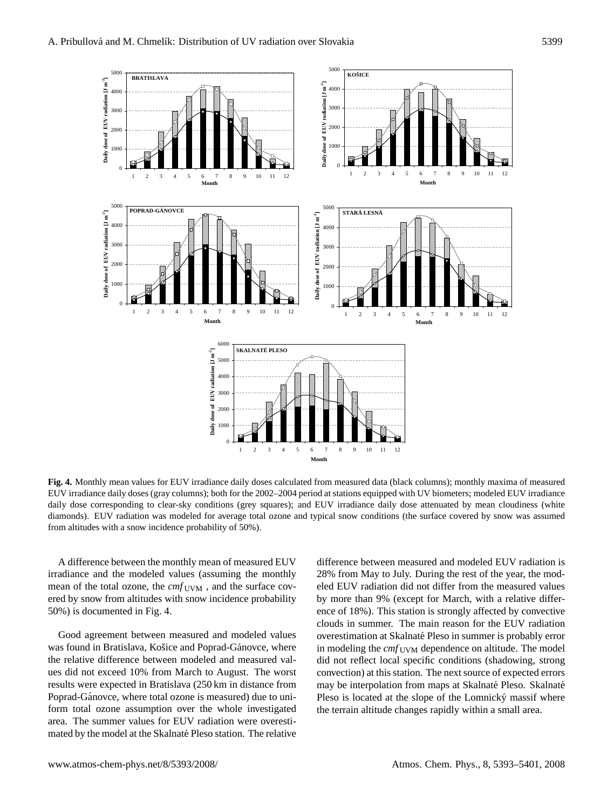

<span id="page-6-0"></span>from altitudes with a snow incidence probability of 50%). diamonds). EUV radiation was modeled for average total ozone and typical snow conditions (the surface covered by snow was assumed EUV irradiance daily doses (gray columns); both for the 2002-2004 period at stations equipped with UV biometers; modeled EUV irradiance  **Daily dose of EUV radiation [J m-2** (grey squares); and EUV irradiance daily dos  $1.2$  3  $4.3$  6  $2.3$  6  $2.3$  6  $2.3$  6  $2.3$  6  $2.3$  6  $2.3$  6  $2.3$  6  $2.3$ 0 **Fig. 4.** Monthly mean values for EUV irradiance daily doses calculated from measured data (black columns); monthly maxima of measured daily dose corresponding to clear-sky conditions (grey squares); and EUV irradiance daily dose attenuated by mean cloudiness (white

mean of the total ozone, the *cmf* UVM, and the surface cov-<br>eled EUV radiation did not differ from the measured value ered by snow from altitudes with snow incidence probability by more than 9% (except for March, with a relative difference at the snow incidence probability A difference between the monthly mean of measured EUV irradiance and the modeled values (assuming the monthly 50%) is documented in Fig. 4.

form total ozone assumption over the whole investigated ues did not exceed 10% from March to August. The worst Good agreement between measured and modeled values results were expected in Bratislava (250 km in distance from area. The summer values for EUV radiation were overestimated by the model at the Skalnaté Pleso station. The relative

e relative difference between modeled and measured val-<br>id not reflect local specific conditions (shadowing, strong id not exceed 10% from March to August. The worst convection) at this station. The next source of expected errors s were expected in Bratislava (250 km in distance from may be interpolation from maps at Skalnaté Pleso. Skalnaté Gánovce, where total ozone is measured) due to uni-<br>Pleso is located at the slope of the Lomnický massif where Poprad-Gánovce, where total ozone is measured) due to uni-<br>Pleso is located at the slope of the Lomnický massif where clouds in summer. The main reason for the EUV radiation Good agreement between measured and modeled values overestimation at Skalnaté Pleso in summer is probably error nd in Bratislava, Košice and Poprad-Gánovce, where in modeling the *cmf* <sub>UVM</sub> dependence on altitude. The model was found in Bratislava, Košice and Poprad-Gánovce, where  $\frac{1}{2}$  in modeling the  $cmf_{UVM}$  dependence on altitude. The model did not reflect local specific conditions (shadowing, strong the relative difference between modeled and measured val-<br>did not reflect local specific conditions (shadowing, strong Fig. 2.3. Monthly doses calculated values for the measured values from mean of the total ozone, the  $cmf_{UVM}$ , and the surface cov-<br>eled EUV radiation did not differ from the measured values 50%) is documented in Fig. 4. This station is strongly affected by convective ence of 18%). This station is strongly affected by convective difference between measured and modeled EUV radiation is 28% from May to July. During the rest of the year, the modby more than 9% (except for March, with a relative differthe terrain altitude changes rapidly within a small area.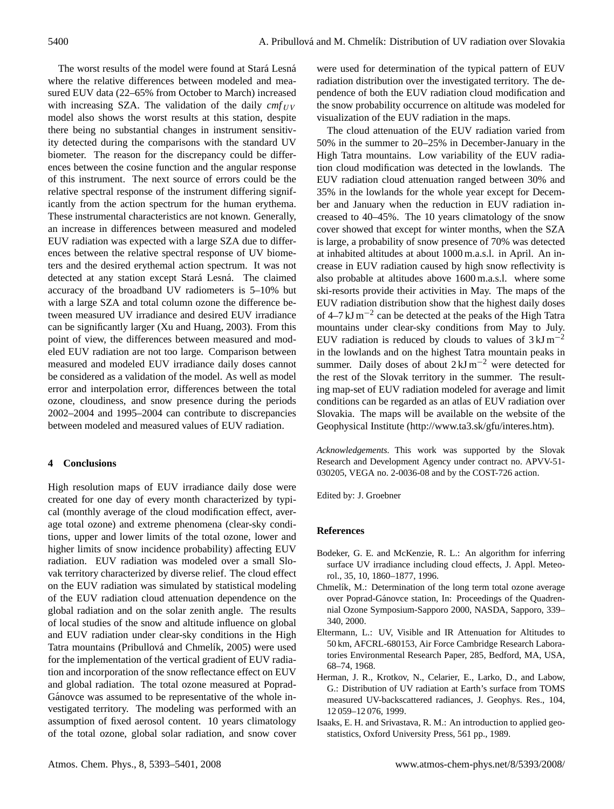The worst results of the model were found at Stará Lesná where the relative differences between modeled and measured EUV data (22–65% from October to March) increased with increasing SZA. The validation of the daily  $cmf_{UV}$ model also shows the worst results at this station, despite there being no substantial changes in instrument sensitivity detected during the comparisons with the standard UV biometer. The reason for the discrepancy could be differences between the cosine function and the angular response of this instrument. The next source of errors could be the relative spectral response of the instrument differing significantly from the action spectrum for the human erythema. These instrumental characteristics are not known. Generally, an increase in differences between measured and modeled EUV radiation was expected with a large SZA due to differences between the relative spectral response of UV biometers and the desired erythemal action spectrum. It was not detected at any station except Stará Lesná. The claimed accuracy of the broadband UV radiometers is 5–10% but with a large SZA and total column ozone the difference between measured UV irradiance and desired EUV irradiance can be significantly larger [\(Xu and Huang,](#page-8-11) [2003\)](#page-8-11). From this point of view, the differences between measured and modeled EUV radiation are not too large. Comparison between measured and modeled EUV irradiance daily doses cannot be considered as a validation of the model. As well as model error and interpolation error, differences between the total ozone, cloudiness, and snow presence during the periods 2002–2004 and 1995–2004 can contribute to discrepancies between modeled and measured values of EUV radiation.

## **4 Conclusions**

High resolution maps of EUV irradiance daily dose were created for one day of every month characterized by typical (monthly average of the cloud modification effect, average total ozone) and extreme phenomena (clear-sky conditions, upper and lower limits of the total ozone, lower and higher limits of snow incidence probability) affecting EUV radiation. EUV radiation was modeled over a small Slovak territory characterized by diverse relief. The cloud effect on the EUV radiation was simulated by statistical modeling of the EUV radiation cloud attenuation dependence on the global radiation and on the solar zenith angle. The results of local studies of the snow and altitude influence on global and EUV radiation under clear-sky conditions in the High Tatra mountains (Pribullová and Chmelík, [2005\)](#page-8-9) were used for the implementation of the vertical gradient of EUV radiation and incorporation of the snow reflectance effect on EUV and global radiation. The total ozone measured at Poprad-Gánovce was assumed to be representative of the whole investigated territory. The modeling was performed with an assumption of fixed aerosol content. 10 years climatology of the total ozone, global solar radiation, and snow cover

were used for determination of the typical pattern of EUV radiation distribution over the investigated territory. The dependence of both the EUV radiation cloud modification and the snow probability occurrence on altitude was modeled for visualization of the EUV radiation in the maps.

The cloud attenuation of the EUV radiation varied from 50% in the summer to 20–25% in December-January in the High Tatra mountains. Low variability of the EUV radiation cloud modification was detected in the lowlands. The EUV radiation cloud attenuation ranged between 30% and 35% in the lowlands for the whole year except for December and January when the reduction in EUV radiation increased to 40–45%. The 10 years climatology of the snow cover showed that except for winter months, when the SZA is large, a probability of snow presence of 70% was detected at inhabited altitudes at about 1000 m.a.s.l. in April. An increase in EUV radiation caused by high snow reflectivity is also probable at altitudes above 1600 m.a.s.l. where some ski-resorts provide their activities in May. The maps of the EUV radiation distribution show that the highest daily doses of 4–7 kJ m−<sup>2</sup> can be detected at the peaks of the High Tatra mountains under clear-sky conditions from May to July. EUV radiation is reduced by clouds to values of  $3 \text{ kJ m}^{-2}$ in the lowlands and on the highest Tatra mountain peaks in summer. Daily doses of about  $2 \text{ kJ m}^{-2}$  were detected for the rest of the Slovak territory in the summer. The resulting map-set of EUV radiation modeled for average and limit conditions can be regarded as an atlas of EUV radiation over Slovakia. The maps will be available on the website of the Geophysical Institute [\(http://www.ta3.sk/gfu/interes.htm\)](http://www.ta3.sk/gfu/interes.htm).

*Acknowledgements.* This work was supported by the Slovak Research and Development Agency under contract no. APVV-51- 030205, VEGA no. 2-0036-08 and by the COST-726 action.

Edited by: J. Groebner

#### **References**

- <span id="page-7-1"></span>Bodeker, G. E. and McKenzie, R. L.: An algorithm for inferring surface UV irradiance including cloud effects, J. Appl. Meteorol., 35, 10, 1860–1877, 1996.
- <span id="page-7-2"></span>Chmelík, M.: Determination of the long term total ozone average over Poprad-Gánovce station, In: Proceedings of the Quadrennial Ozone Symposium-Sapporo 2000, NASDA, Sapporo, 339– 340, 2000.
- Eltermann, L.: UV, Visible and IR Attenuation for Altitudes to 50 km, AFCRL-680153, Air Force Cambridge Research Laboratories Environmental Research Paper, 285, Bedford, MA, USA, 68–74, 1968.
- <span id="page-7-0"></span>Herman, J. R., Krotkov, N., Celarier, E., Larko, D., and Labow, G.: Distribution of UV radiation at Earth's surface from TOMS measured UV-backscattered radiances, J. Geophys. Res., 104, 12 059–12 076, 1999.
- <span id="page-7-3"></span>Isaaks, E. H. and Srivastava, R. M.: An introduction to applied geostatistics, Oxford University Press, 561 pp., 1989.